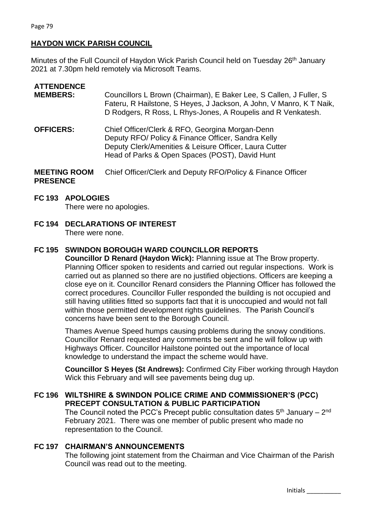# **HAYDON WICK PARISH COUNCIL**

Minutes of the Full Council of Haydon Wick Parish Council held on Tuesday 26<sup>th</sup> January 2021 at 7.30pm held remotely via Microsoft Teams.

| <b>ATTENDENCE</b><br><b>MEMBERS:</b>   | Councillors L Brown (Chairman), E Baker Lee, S Callen, J Fuller, S<br>Fateru, R Hailstone, S Heyes, J Jackson, A John, V Manro, K T Naik,<br>D Rodgers, R Ross, L Rhys-Jones, A Roupelis and R Venkatesh.         |  |
|----------------------------------------|-------------------------------------------------------------------------------------------------------------------------------------------------------------------------------------------------------------------|--|
| <b>OFFICERS:</b>                       | Chief Officer/Clerk & RFO, Georgina Morgan-Denn<br>Deputy RFO/ Policy & Finance Officer, Sandra Kelly<br>Deputy Clerk/Amenities & Leisure Officer, Laura Cutter<br>Head of Parks & Open Spaces (POST), David Hunt |  |
| <b>MEETING ROOM</b><br><b>PRESENCE</b> | Chief Officer/Clerk and Deputy RFO/Policy & Finance Officer                                                                                                                                                       |  |

#### **FC 193 APOLOGIES**

There were no apologies.

**FC 194 DECLARATIONS OF INTEREST** There were none.

## **FC 195 SWINDON BOROUGH WARD COUNCILLOR REPORTS**

**Councillor D Renard (Haydon Wick):** Planning issue at The Brow property. Planning Officer spoken to residents and carried out regular inspections. Work is carried out as planned so there are no justified objections. Officers are keeping a close eye on it. Councillor Renard considers the Planning Officer has followed the correct procedures. Councillor Fuller responded the building is not occupied and still having utilities fitted so supports fact that it is unoccupied and would not fall within those permitted development rights guidelines. The Parish Council's concerns have been sent to the Borough Council.

Thames Avenue Speed humps causing problems during the snowy conditions. Councillor Renard requested any comments be sent and he will follow up with Highways Officer. Councillor Hailstone pointed out the importance of local knowledge to understand the impact the scheme would have.

**Councillor S Heyes (St Andrews):** Confirmed City Fiber working through Haydon Wick this February and will see pavements being dug up.

#### **FC 196 WILTSHIRE & SWINDON POLICE CRIME AND COMMISSIONER'S (PCC) PRECEPT CONSULTATION & PUBLIC PARTICIPATION**

The Council noted the PCC's Precept public consultation dates  $5<sup>th</sup>$  January – 2<sup>nd</sup> February 2021. There was one member of public present who made no representation to the Council.

#### **FC 197 CHAIRMAN'S ANNOUNCEMENTS**

The following joint statement from the Chairman and Vice Chairman of the Parish Council was read out to the meeting.

Initials \_\_\_\_\_\_\_\_\_\_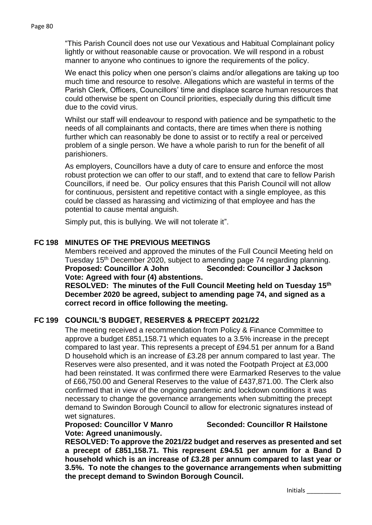Page 80

"This Parish Council does not use our Vexatious and Habitual Complainant policy lightly or without reasonable cause or provocation. We will respond in a robust manner to anyone who continues to ignore the requirements of the policy.

We enact this policy when one person's claims and/or allegations are taking up too much time and resource to resolve. Allegations which are wasteful in terms of the Parish Clerk, Officers, Councillors' time and displace scarce human resources that could otherwise be spent on Council priorities, especially during this difficult time due to the covid virus.

Whilst our staff will endeavour to respond with patience and be sympathetic to the needs of all complainants and contacts, there are times when there is nothing further which can reasonably be done to assist or to rectify a real or perceived problem of a single person. We have a whole parish to run for the benefit of all parishioners.

As employers, Councillors have a duty of care to ensure and enforce the most robust protection we can offer to our staff, and to extend that care to fellow Parish Councillors, if need be. Our policy ensures that this Parish Council will not allow for continuous, persistent and repetitive contact with a single employee, as this could be classed as harassing and victimizing of that employee and has the potential to cause mental anguish.

Simply put, this is bullying. We will not tolerate it".

# **FC 198 MINUTES OF THE PREVIOUS MEETINGS**

Members received and approved the minutes of the Full Council Meeting held on Tuesday 15<sup>th</sup> December 2020, subject to amending page 74 regarding planning. **Proposed: Councillor A John Seconded: Councillor J Jackson Vote: Agreed with four (4) abstentions.**

**RESOLVED: The minutes of the Full Council Meeting held on Tuesday 15th December 2020 be agreed, subject to amending page 74, and signed as a correct record in office following the meeting.**

## **FC 199 COUNCIL'S BUDGET, RESERVES & PRECEPT 2021/22**

The meeting received a recommendation from Policy & Finance Committee to approve a budget £851,158.71 which equates to a 3.5% increase in the precept compared to last year. This represents a precept of £94.51 per annum for a Band D household which is an increase of £3.28 per annum compared to last year. The Reserves were also presented, and it was noted the Footpath Project at £3,000 had been reinstated. It was confirmed there were Earmarked Reserves to the value of £66,750.00 and General Reserves to the value of £437,871.00. The Clerk also confirmed that in view of the ongoing pandemic and lockdown conditions it was necessary to change the governance arrangements when submitting the precept demand to Swindon Borough Council to allow for electronic signatures instead of wet signatures.

**Vote: Agreed unanimously.**

**Proposed: Councillor V Manro Seconded: Councillor R Hailstone**

**RESOLVED: To approve the 2021/22 budget and reserves as presented and set a precept of £851,158.71. This represent £94.51 per annum for a Band D household which is an increase of £3.28 per annum compared to last year or 3.5%. To note the changes to the governance arrangements when submitting the precept demand to Swindon Borough Council.**

Initials \_\_\_\_\_\_\_\_\_\_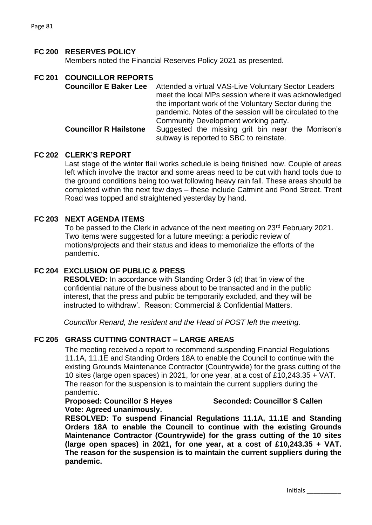#### **FC 200 RESERVES POLICY**

Members noted the Financial Reserves Policy 2021 as presented.

|  | FC 201 COUNCILLOR REPORTS<br><b>Councillor E Baker Lee</b> | Attended a virtual VAS-Live Voluntary Sector Leaders<br>meet the local MPs session where it was acknowledged<br>the important work of the Voluntary Sector during the<br>pandemic. Notes of the session will be circulated to the |
|--|------------------------------------------------------------|-----------------------------------------------------------------------------------------------------------------------------------------------------------------------------------------------------------------------------------|
|  | <b>Councillor R Hailstone</b>                              | Community Development working party.<br>Suggested the missing grit bin near the Morrison's<br>subway is reported to SBC to reinstate.                                                                                             |

#### **FC 202 CLERK'S REPORT**

Last stage of the winter flail works schedule is being finished now. Couple of areas left which involve the tractor and some areas need to be cut with hand tools due to the ground conditions being too wet following heavy rain fall. These areas should be completed within the next few days – these include Catmint and Pond Street. Trent Road was topped and straightened yesterday by hand.

#### **FC 203 NEXT AGENDA ITEMS**

To be passed to the Clerk in advance of the next meeting on 23<sup>rd</sup> February 2021. Two items were suggested for a future meeting: a periodic review of motions/projects and their status and ideas to memorialize the efforts of the pandemic.

## **FC 204 EXCLUSION OF PUBLIC & PRESS**

**RESOLVED:** In accordance with Standing Order 3 (d) that 'in view of the confidential nature of the business about to be transacted and in the public interest, that the press and public be temporarily excluded, and they will be instructed to withdraw'. Reason: Commercial & Confidential Matters.

*Councillor Renard, the resident and the Head of POST left the meeting.*

#### **FC 205 GRASS CUTTING CONTRACT – LARGE AREAS**

The meeting received a report to recommend suspending Financial Regulations 11.1A, 11.1E and Standing Orders 18A to enable the Council to continue with the existing Grounds Maintenance Contractor (Countrywide) for the grass cutting of the 10 sites (large open spaces) in 2021, for one year, at a cost of £10,243.35 + VAT. The reason for the suspension is to maintain the current suppliers during the pandemic.

**Vote: Agreed unanimously.**

**Proposed: Councillor S Heyes Seconded: Councillor S Callen**

**RESOLVED: To suspend Financial Regulations 11.1A, 11.1E and Standing Orders 18A to enable the Council to continue with the existing Grounds Maintenance Contractor (Countrywide) for the grass cutting of the 10 sites (large open spaces) in 2021, for one year, at a cost of £10,243.35 + VAT. The reason for the suspension is to maintain the current suppliers during the pandemic.**